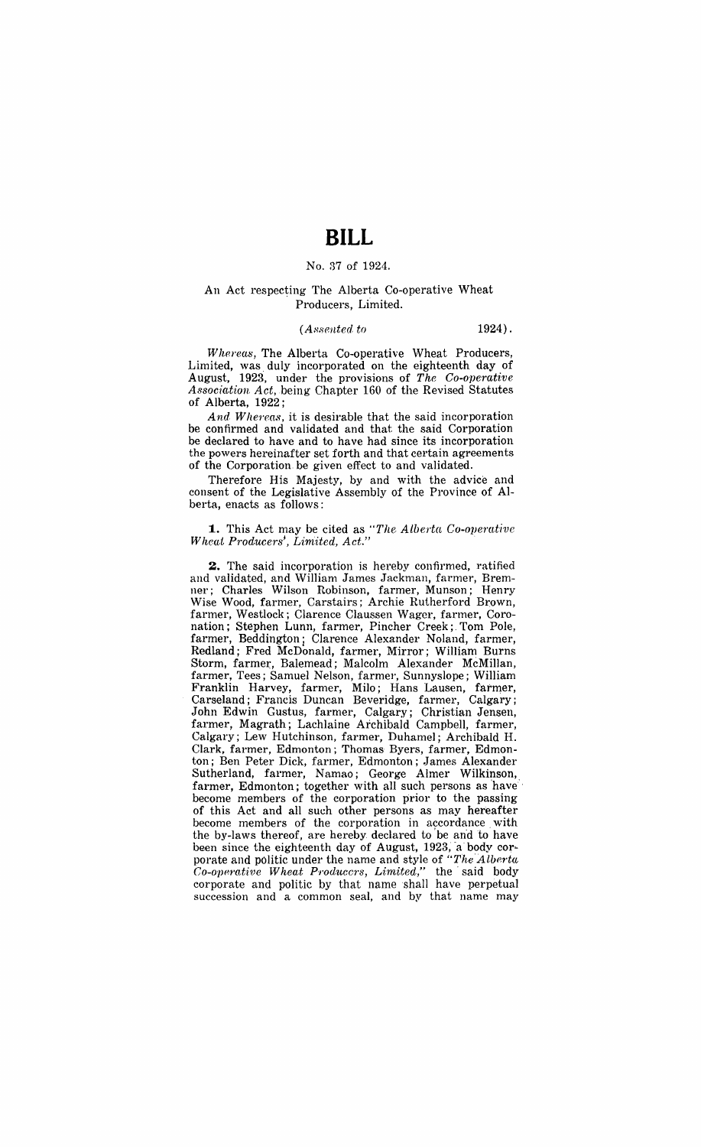# **BILL**

## No. 37 of 1924.

### An Act respecting The Alberta Co-operative Wheat Producers, Limited.

#### *(Assented to* 1924) .

*Whereas,* The Alberta Co-operative Wheat Producers, Limited, was, duly incorporated on the eighteenth day of August, 1923, under the provisions of *The Co-operative A8sociation Act,* .being Chapter 160 of the Revised Statutes of Alberta, 1922;

And Whereas, it is desirable that the said incorporation be confirmed and validated and that the said Corporation be declared to have and to have had since its incorporation the powers hereinafter set forth and that certain agreements of the Corporation be given effect to and validated.

Therefore His Majesty, by and with the advice and consent of the Legislative Assembly of the Province of Alberta, enacts as follows:

#### **1.** This Act may be cited as "The Alberta Co-operative *Wheat Producersi , Liniited, Act." ,*

**2.** The said incorporation is hereby confirmed, ratified and validated, and William James Jackman, farmer, Bremner; Charles Wilson Robinson, farmer, Munson; Henry Wise Wood, farmer, Carstairs; Archie Rutherford Brown, farmer, Westlock; Clarence Claussen Wager, farmer, Coronation; Stephen Lunn, farmer, Pincher Creek; Tom Pole, farmer, Beddington; Clarence Alexander Noland, farmer, Redland; Fred McDonald, farmer, Mirror; William Burns Storm, farmer, Balemead; Malcolm Alexander McMillan, farmer, Tees; Samuel Nelson, farmer, Sunnyslope; William Franklin Harvey, farmer, Milo; Hans Lausen, farmer, Carseland; Francis Duncan Beveridge, farmer, Calgary; John Edwin Gustus, farmer, Calgary; Christian Jensen, farmer, Magrath; Lachlaine Archibald Campbell, farmer, Calgary; Lew Hutchinson, farmer, Duhamel; Archibald H. Clark, farmer, Edmonton; Thomas Byers, farmer, Edmonton; Ben Peter Dick, farmer, Edmonton; James Alexander Sutherland, farmer, Namao; George Almer Wilkinson, farmer, Edmonton; together with all such persons as 'have' become members of the corporation prior to the passing of this Act and all such other persons as may hereafter become members of the corporation in accordance, with the by-laws thereof, are hereby declared to be and to have been since the eighteenth day of August, 1923, a body corporate and politic under the name and style of "The Alberta" *Co-operative Wheat Producers, Limited,"* the said body corporate and politic by that name shall have perpetual succession and a common seal, and by that name may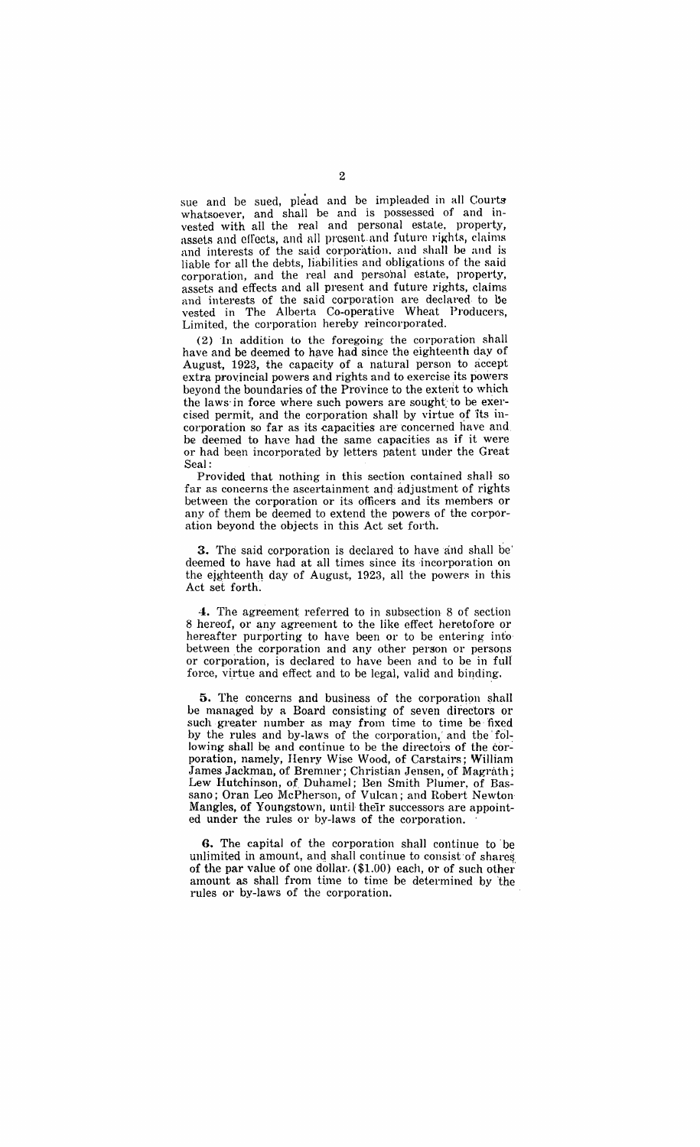sue and be sued, plead and be impleaded in all Courts whatsoever, and shall be and is possessed of and invested with all the real and personal estate, property, assets and effects, and all present and future rights, claims and interests of the said corporation. and shall be and is liable for all the debts, liabilities and obligations of the said corporation, and the real and personal estate, property, assets and effects and all present and future rights, claims and interests of the said corporation are declared to be vested in The Alberta Co-operative Wheat Producers, Limited, the corporation hereby reincorporated.

(2) In addition to the foregoing the corporation shall have and be deemed to have had since the eighteenth day of August, 1923, the capacity of a natural person to accept extra provincial powers and rights and to exercise its powers beyond the boundaries of the ProVince to the extent to which the laws in force where such powers are sought to be exercised permit, and the corporation shall by virtue of 'its incorporation so far as its capacities are concerned have and be deemed to have had the same capacities as if it were or had been incorporated by letters patent under the Great Seal:

Provided that nothing in this section contained shall so far as concerns the ascertainment and adjustment of rights between the corporation or its officers and its members or any of them be deemed to extend the powers of the corporation beyond the objects in this Act set forth.

**3.** The said corporation is declared to have and shall be' deemed to have had at all times since its incorporation on the eighteenth day of August, 1923, all the powers in this Act set forth.

**4.** The agreement referred to in subsection 8 of section 8 hereof, or any agreement to the like effect heretofore or hereafter purporting to have been or to be entering info between the corporation and any other person or persons or corporation, is declared to have been and to be in full force, virtue and effect and to be legal, valid and binding.

**5.** The concerns and business of the corporation shall be managed by a Board consisting of seven directors or such greater number as may from time to time be fixed by the rules and by-laws of the corporation,' and the' following shall be and continue to be the directors of the corporation, namely, Henry Wise Wood, of Carstairs; William James Jackman, of Bremner; Christian Jensen, of Magrath; Lew Hutchinson, of Duhamel; Ben Smith Plumer, of Bassano; Oran Leo McPherson, of Vulcan; and Robert Newton Mangles, of Youngstown, until their successors are appointed under the rules or by-laws of the corporation.

**G.** The capital of the corporation shall continue to be unlimited in amount, and shall continue to consist of shares of the par value of one dollar. (\$1.00) each, or of such other amount as shall from time to time be determined by 'the rules or by-laws of the corporation.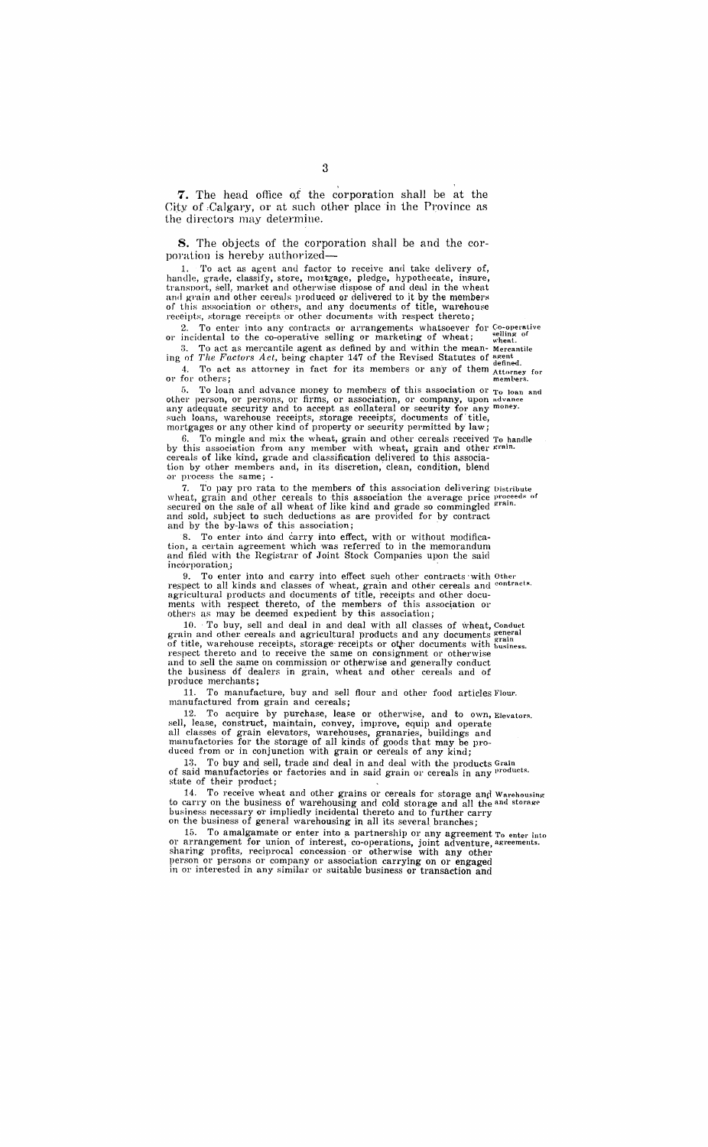**7.** The head office of the corporation shall be at the City of Calgary, or at such other place in the Province as the directors may determine.

**8.** The objects of the corporation shall be and the corporation is hereby authorized-

1. To act as agent and factor to receive and take delivery of, handle, grade, classify, store, mortgage, pledge, hypothecate, insure, transport, sell, market and otherwise dispose of and deal in the whent and grain and other cereals produced or delivered to it by the members of this association or others, and any documents of title, warehouse receipts, storage receipts or other documents with respect thereto;

2. To enter into any contracts or arrangements whatsoever for Co-operative or incidental to the co-operative selling or marketing of wheat;  $\frac{1}{\text{wheat}}$  of 3. To act as mercantile agent as defined by and within the mean- Mercantile

ing of *The Factors Act*, being chapter 147 of the Revised Statutes of  $\frac{a^{\text{gent}}}{a^{\text{final}}}$ 

4. To act as attorney in fact for its members or any of them  $_{\text{Attoney}}$  for or for others; members.

5. To loan and advance money to members of this association or  $T_0$  loan and other person, or persons, or firms, or association, or company, upon advance any adequate security and to accept as collateral or security for any money. such loans, warehouse receipts, storage receipts', documents of' title, mortgages or any other kind of property or security permitted by law;

6. To mingle and mix the wheat, grain and other cereals received To handle by this association from any member with wheat, graih and other grain. cereals of like kind, grade and classification delivered to this association by other members and, in its discretion, clean, condition, blend or process the same; .

7. To pay pro rata to the members of this association delivering Distribute wheat, grain and other cereals to this association the average price proceeds of secured on the sale of all wheat of like kind and grade so commingled <sup>grain.</sup> and sold, subject to such deductions as are provided for by contract and by the by-laws of this association;

8. To enter into and carry into effect, with or without modification, a certain agreement which was referred' to in the memorandum and filed with the Registrar of Joint Stock Companies upon the said incórporation;

9. To enter into and carry into effect such other contracts with Other respect to all kinds and classes of wheat, grain and other cereals and contracts. agricultural products and documents of title, receipts and other documents with respect thereto, of the members of this association or others as may be deemed expedient by this association;

10. To buy, sell and deal in and deal with all classes of wheat, Conduct grain and other cereals and agricultural products and any documents general of title, warehouse receipts, storage receipts or other documents with business. respect thereto and to receive the same on consignment or otherwise and to sell the same on commission or otherwise and generally conduct the business df' dealers in grain, wheat and other cereals and of produce merchants;

11. To manufacture, buy and sell flour and other food articles Flour. man ufactured from grain and cereals;

12. To acquire by purchase, lease or otherwise, and to own, Elevators. sell, lease, construct, maintain, convey, improve, equip and operate all classes of grain elevators, warehouses, granaries, buildings and manufactories for the storage of all kinds of *goods* that may be produced from or in conjunction with grain or cereals of any kind;

13. To buy and sell, trade and deal in and deal with the products Grain of said manufactories or factories and in said grain or cereals in any <sup>products.</sup> stute of their product;

14. To receive wheat and other grains or cereals for storage and Warehousing to carry on the business of warehousing and cold storage and all the and storage business necessary or impliedly incidental thereto and to further carry on the business of general warehousing in, all its several branches;

15. To amalgamate or enter into a partnership or any agreement To enter into or arrangement for union of interest, co-operations, joint adventure, agreements. sharing profits, reciprocal concession· or otherwise with any other person or persons or company or association carrying on or engaged in or interested in any similar or suitable business or transaction and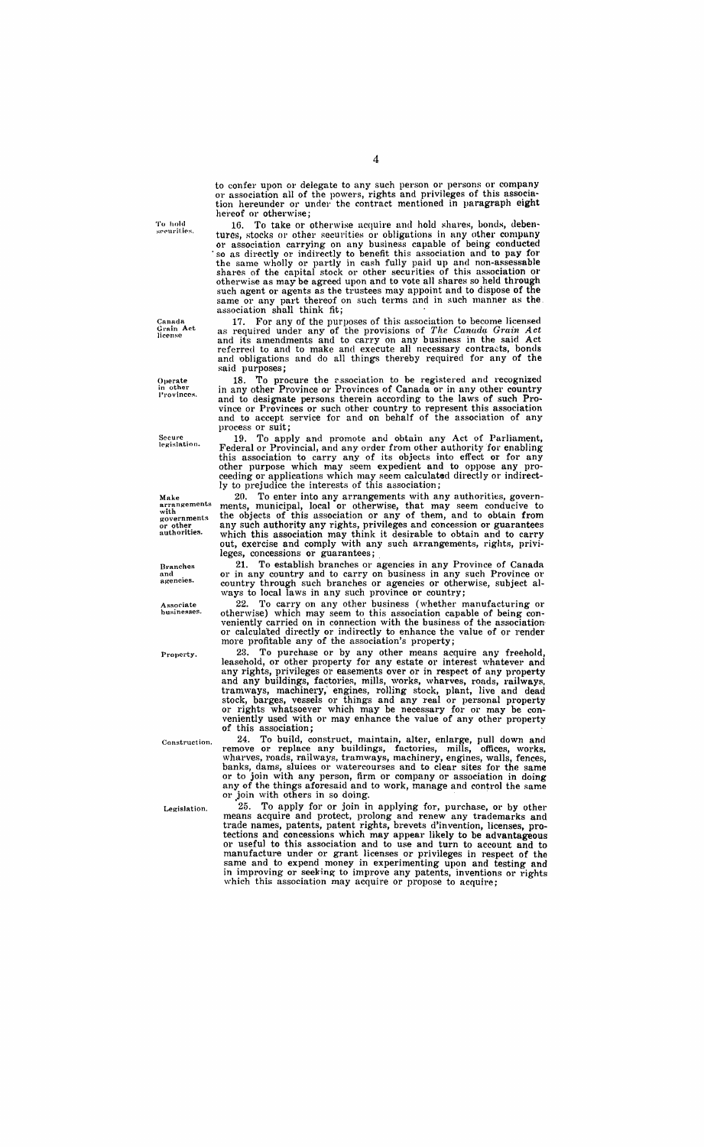**'1'0 hold** s(l(·uritip~.

Canada<br>Grain **A**ct<br>license

Operate<br>in other<br>**Provinces**.

Secure<br>legisl**at**ion.

Make **arrangements**  with **govel'nmentg**  or other authorities.

**Branches and agencies.** 

Associate<br>businesses.

**Property.** 

**Construction.** 

Legislation.

4

to confer upon or delegate to any such person or persons or company or association all of the powers, rights and privileges of this association hereunder or under the contract mentioned in paragraph eight hereof or otherwise;<br>16. To take or o

To take or otherwise acquire and hold shares, bonds, debentures, stocks or other securities or obligations in any other company or association carrying on any business capable of being conducted . so as directly or indirectly to benefit this association and to pay for the same wholly or partly in cash fully paid up and non-assessable shares of the capital stock or other securities of this association or otherwise as may be agreed upon and to vote all shares so held through such agent or agents as the trustees may appoint and to dispose of the same or any part thereof on such terms and in such manner as the. association shall think fit;

17, For any of the purposes of this association to become licensed as reqUired under any of the provisions of *The Canadq, Grain Act*  and its amendments and to carry on any business in the said Act referred to and to make and execute all necessary contracts, bonds and obligations and do all things thereby required for any of the said purposes;

18. To procure the r.ssociation to be registered and recognized in any other Province or Provinces of Canada or in any other country and to designate persons therein according to the laws of such Province or Provinces or such other country to represent this association and to accept service for and on behalf of the association of any process or suit;

19. To apply and promote and obtain any Act of Parliament, Federal or Provincial, and any order from other authority for enabling this association to carry any of its objects into effect or for any other purpose which may seem expedient and to oppose any proceeding or applications which may seem calculated directly or indirectly to prejudice the interests of this association;

20, To enter into any arrangements with any authorities, governments, municipal, local or otherwise, that may seem conducive to the objects of this association or any of them, and to obtain from any such authority any rights, privileges and concession or guarantees which this association may think it desirable to obtain and to carry out, exercise and comply with any such arrangements, rights, privileges, concessions or guarantees;

21. To establish branches or agencies in any Province of Canada or in any country and to carryon business in any such Province 01' country through such branches or agencies or otherwise, subject always to local laws in any such province or country;

ways to local laws in any such province or country,<br>22. To carry on any other business (whether manufacturing or<br>otherwise) which may seem to this association capable of being con-<br>veniently carried on in connection with t

23. To purchase or by any other means acquire any freehold, leasehold, or other property for any estate or interest whatever and any rights, privileges or easements over or in respect of any property and any buildings, factories, mills, works, wharves, roads, railways, tramways, machinery; engines, rolling stock, plant, live and dead stock, barges, vessels or things and any real or personal property or rights whatsoever which may be necessary for or may be con- veniently used with or may enhance the value of any other property of this association;

24. To build, construct, maintain, alter, enlarge, pull down and remove or replace any buildings, factories, mills, offices, works. wharves, roads, railways, tramways, machinery, engines, walls, fences, banks, dams, sluices or watercourses and to clear sites for the same or to join with any person, firm or company or association in doing any of the things aforesaid and to work, manage and control the same or join with others in so doing.

• 25. To apply for or join in applying for, purchase, or by other means acquire and protect, prolong and renew any trademarks and trade names, patents, patent rights, brevets d'invention, licenses, protections and concessions which may appear likely to be advantageous or useful to this association and to use and turn to account and to manufacture under or grant licenses or privileges in respect of the same and to expend money in experimenting upon and testing and in improving or seeking to improve any patents, inventions or rights which this association may acquire or propose to acquire;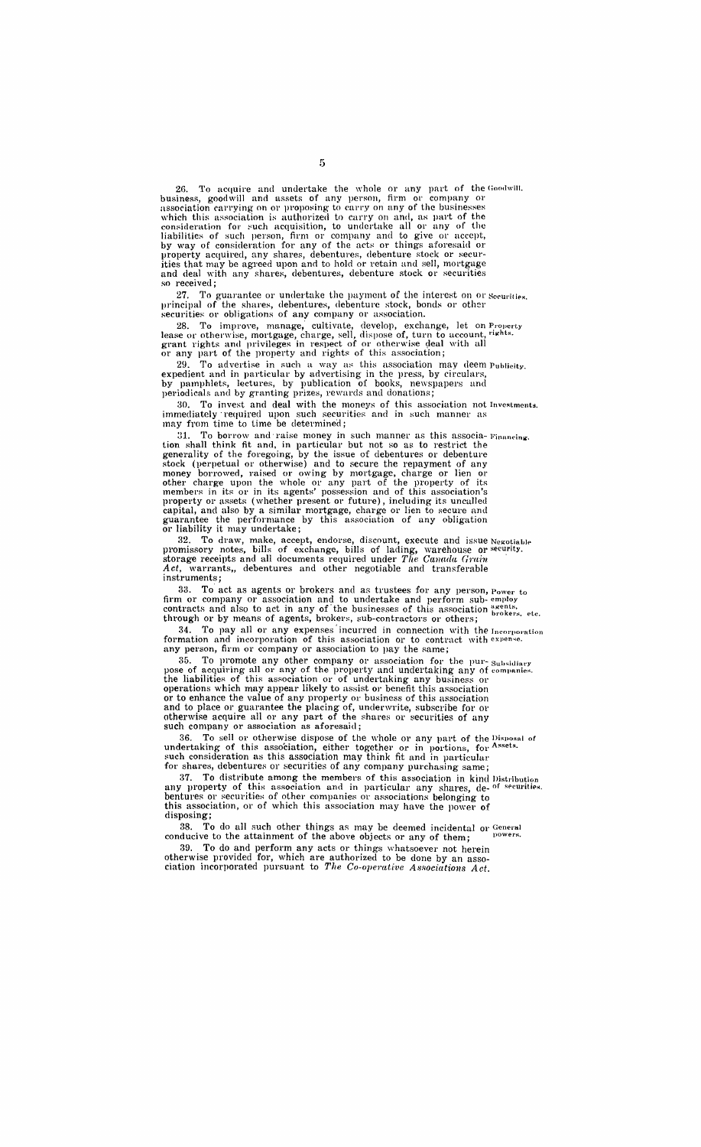26. To acquire and undertake the whole or any part of the Goodwill. business, good will and assets of any person, firm or company or association carrying on or proposing to carry on any of the businesses which this association is authorized to carry on and, as part of the consideration for such acquisition, to undertake all or any of the liabilities of such person, firm or company and to give or accept,<br>by way of consideration for any of the acts or things aforesaid or property acquired, any shares, debentures, debenture stock or securities that may be agreed upon and to hold or retain and sell, mortgage and deal with any shares, debentures, debenture stock or securities so received;

27. To guarantee or undertake the payment of the interest on or Securities. principal of the shares, debentures, debenture stock, bonds or other securities or obligations of any company or association.

28. To improve, manage, cultivate, develop, exchange, let on Property lease or otherwise, mortgage, charge, sell, dispose of, turn to account, rights. grant rights and privileges in respect of or otherwise deal with all or any part of the property and rights of this association;

29. To advertise in "uch a way as this association may deem Puhlicity. expedient and in particular by advertising in the press, by circulars, by pamphlets, lectures, by publication of books, newspapers and periodicals and by granting prizes, rewards and donations;

30. To invest and deal with the moneys of this association not Investments. immediately required upon such securities and in such manner as may from time to time be determined;

31. To borrow and raise money in such manner as this associa- Financing. tion shall think fit and, in particular but not so as to restrict the generality of the foregoing, by the issue of debentures or debenture stock (perpetual or otherwise) and to secure the repayment of any money borrowed, raised or owing by mortgage, charge or lien or other charge upon the whole or any part of the property of its members in its or in its agents' possession and of this association's property or assets (whether present or future), including its uncalled capital, and also by a similar mortgage, charge or lien to secure and guarantee the performance by this association of any obligation or liability it may undertake;

32. To draw, make, accept, endorse, discount, execute and issue Negotiable promissory notes, bills of exchange, bills of lading, warehouse or security. storage receipts and all documents required under *The Canada Grain* Act, warrants,, debentures and other negotiable and transferable instruments;

33. To act as agents or brokers and as trustees for any person, Power to firm or company or association and to undertake and perform sub- employ contracts and also to act in any of the businesses of this association  $_{\text{brakers, etc.}}^{a$ through or by means of agents, brokers, sub-contractors or others;

34. To pay all or any expenses incurred in connection with the Incorporation formation and incorporation of this association or to contract with expense. any person, firm or company or association to pay the same;

35. To promote any other company or association for the pur-  $\frac{S_{\text{u}}}{S_{\text{u}}}\$  pose of acquiring all or any of the property and undertaking any of companies. the liabilities of this association or of undertaking any business or operations which may appear likely to assist or benefit this association or to enhance the value of any property or business of this association and to place or guarantee the placing of, underwrite, subscribe for or otherwise acquire all or any part of the shares or securities of any such company or association as aforesaid;

36. To sell or otherwise dispose of the whole or any part of the Disposal of undertaking of this association, either together or in portions, for Assets. such consideration as this association may think fit and in particular for shares, debentures or securities of any company purchasing same;

37. To distribute among the members of this association in kind Distribution any property of this association and in particular any shares, de- <sup>of securities.</sup> bentures or securities of other companies or associations belonging to this association, or of which this association may have the power of disposing;

38. To do all such other things as may be deemed incidental or General conducive to the attainment of the above objects or any of them;  $p_{\text{power}}$ 

39. To do and perform any acts or things whatsoever not herein otherwise provided for, which are authorized to be done by an association incorporated pursuant to The Co-operative Associations Act.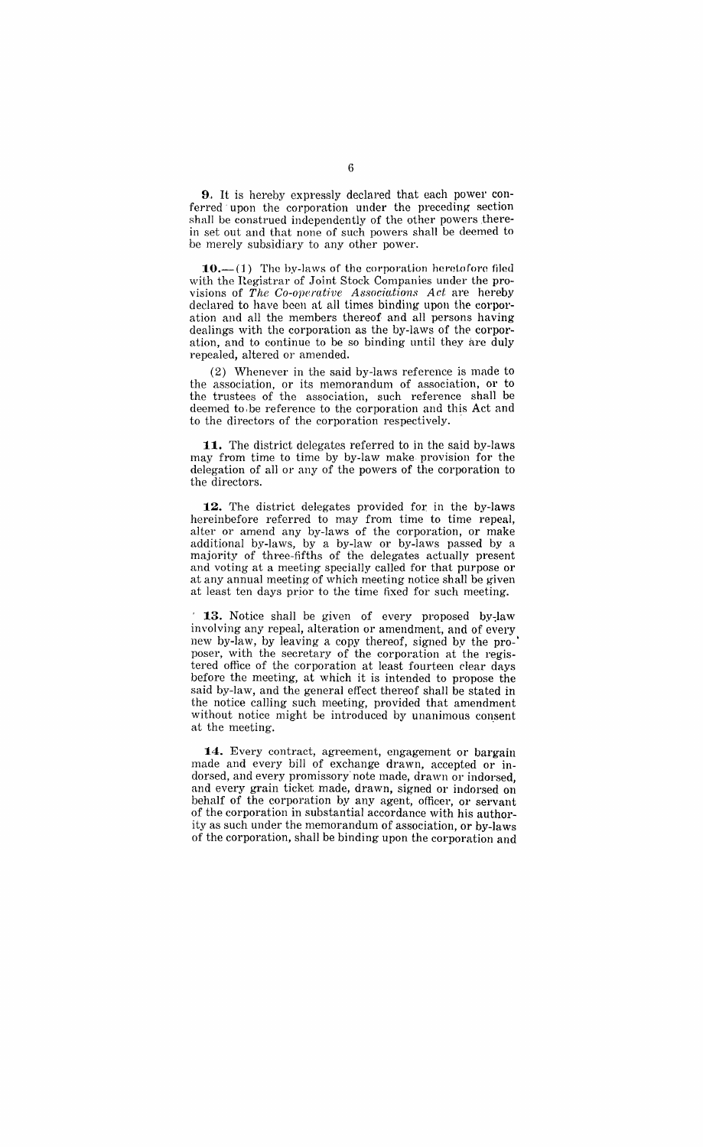9.. It is hereby expressly declared that each power conferred upon the corporation under the preceding section shall be construed independently of the other powers therein set out and that none of such powers shall be deemed to be merely subsidiary to any other power.

 $10.-(1)$  The by-laws of the corporation heretofore filed with the Hegistrar of Joint Stock Companies under the provisions of *The Co-operative Associntions Act* are hereby declared to have been at all times binding upon the corporation and all the members thereof and all persons having dealings with the corporation as the by-laws of the corporation, and to continue to be so binding nntil they are duly repealed, altered or amended.

(2) Whenever in the said by-laws reference is made to the association, or its memorandum of association, or to the trustees of the association, such reference shall be deemed to, be reference to the corporation and this Act and to the directors of the corporation respectively. .

**11.** The district delegates referred to in the said by-laws may from time to time by by-law make provision for the delegation of all or any of the powers of the corporation to the directors.

**12.** The district delegates provided for in the by-laws hereinbefore referred to may from time to time repeal, alter or amend any by-laws of the corporation, or make additional by-laws, by a by-law or by-laws passed by a majority of three-fifths of the delegates actually present and voting at a meeting specially called for that purpose or at any annual meeting of which meeting notice shall be given at least ten days prior to the time fixed for such meeting.

<sup>1</sup> **13.** Notice shall be given of every proposed by-law involving any repeal, alteration or amendment, and of every new by-law, by leaving a copy thereof, signed by the pro-' poser, with the secretary of the corporation at the registered office of the corporation at least fourteen clear days before the meeting, at which it is intended to propose the said by-law, and the general effect thereof shall be stated in the notice calling such meeting, provided that amendment without notice might be introduced by unanimous consent at the meeting.

**14.** Every contract, agreement, engagement or bargain made and every bill of exchange drawn, accepted or indorsed, and every promissory note made, drawn or indorsed, and every grain ticket made, drawn, signed or indorsed on behalf of the corporation by any agent, officer, or servant of the corporation in substantial accordance with his authority as such under the memorandum of association, or by-laws of the corporation, shall be binding upon the corporation and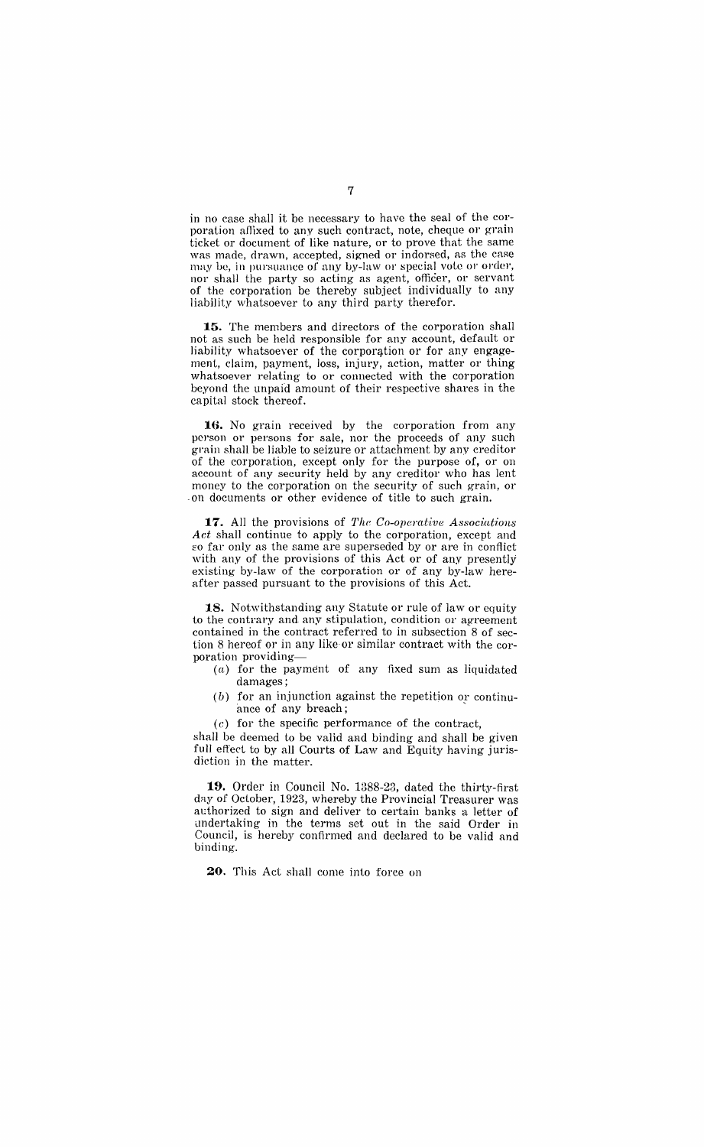in no case shall it be necessary to have the seal of the corporation affixed to any such contract, note, cheque or grain ticket or document of like nature, or to prove that the same was made, drawn, accepted, signed or indorsed, as the case may be, in pursuance of any by-law or special vote or order, nor shall the party so acting as agent, officer, or servant of the corporation be thereby subject individually to any liability whatsoever to any third party therefor.

**15.** The members and directors of the corporation shall not as such be held responsible for any account, default or liability whatsoever of the corporation or for any engagement, claim, payment, loss, injury, action, matter or thing whatsoever relating to or connected with the corporation beyond the unpaid amount of their respective shares in the capital stock thereof.

16. No grain received by the corporation from any person or persons for sale, nor the proceeds of any such grain shall be liable to seizure or attachment by any creditor of the corporation, except only for the purpose of, or on account of any security held by any creditor who has lent money to the corporation on the security of such grain, or -on documents or other evidence of title to such grain.

**17.** All the provisions of *The Co-operative Associations Act* shall continue to apply to the corporation, except and so far only as the same are superseded by or are in conflict with any of the provisions of this Act or of any presently existing by-law of the corporation or of any by-law hereafter passed pursuant to the provisions of this Act.

**18.** Notwithstanding any Statute or rule of law or equity to the contrary and any stipulation, condition or agreement contained in the contract referred to in subsection 8 of section 8 hereof or in any like or similar contract with the corporation providing-

- (a) for the payment of any fixed sum as liquidated damages;
- $(b)$  for an injunction against the repetition or continuance of any breach;
- $(c)$  for the specific performance of the contract,

shall be deemed to be valid and binding and shall be given full effect to by all Courts of Law and Equity having jurisdiction in the matter.

**19.** Order in Council No. 1388-23, dated the thirty-first day of October, 1923, whereby the Provincial Treasurer was authorized to sign and deliver to certain banks a letter of undertaking in the terms set out in the said Order in Council, is hereby confirmed and declared to be valid and binding.

20. This Act shall come into force on